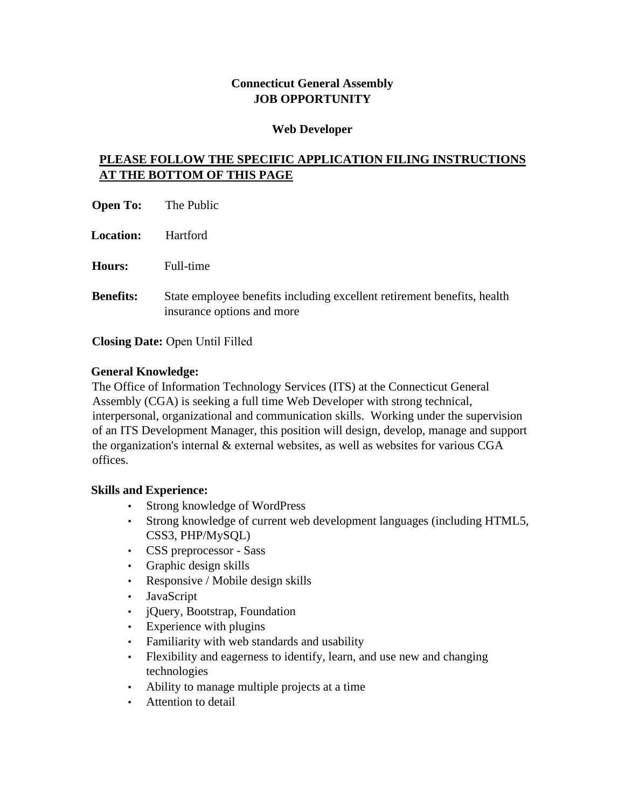# **Connecticut General Assembly JOB OPPORTUNITY**

#### **Web Developer**

# **PLEASE FOLLOW THE SPECIFIC APPLICATION FILING INSTRUCTIONS AT THE BOTTOM OF THIS PAGE**

| <b>Open To:</b>  | The Public                                                                                            |
|------------------|-------------------------------------------------------------------------------------------------------|
| <b>Location:</b> | <b>Hartford</b>                                                                                       |
| <b>Hours:</b>    | Full-time                                                                                             |
| <b>Benefits:</b> | State employee benefits including excellent retirement benefits, health<br>insurance options and more |

**Closing Date:** Open Until Filled

## **General Knowledge:**

The Office of Information Technology Services (ITS) at the Connecticut General Assembly (CGA) is seeking a full time Web Developer with strong technical, interpersonal, organizational and communication skills. Working under the supervision of an ITS Development Manager, this position will design, develop, manage and support the organization's internal & external websites, as well as websites for various CGA offices.

## **Skills and Experience:**

- Strong knowledge of WordPress
- Strong knowledge of current web development languages (including HTML5, CSS3, PHP/MySQL)
- CSS preprocessor Sass
- Graphic design skills
- Responsive / Mobile design skills
- JavaScript
- jQuery, Bootstrap, Foundation
- Experience with plugins
- Familiarity with web standards and usability
- Flexibility and eagerness to identify, learn, and use new and changing technologies
- Ability to manage multiple projects at a time
- Attention to detail